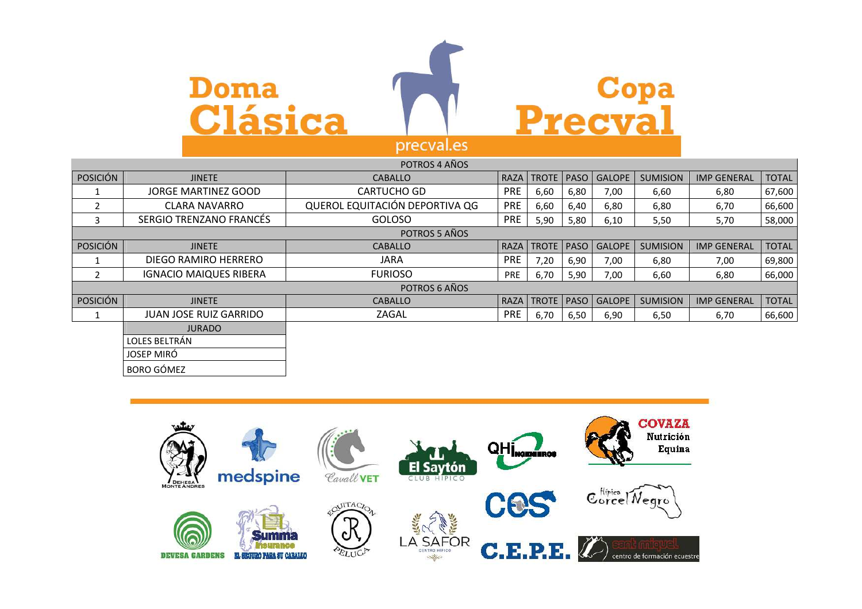



|                 |                               | POTROS 4 AÑOS                  |            |                     |      |               |                 |                    |              |
|-----------------|-------------------------------|--------------------------------|------------|---------------------|------|---------------|-----------------|--------------------|--------------|
| <b>POSICIÓN</b> | <b>JINETE</b>                 | <b>CABALLO</b>                 |            | <b>RAZA TROTE</b>   | PASO | <b>GALOPE</b> | <b>SUMISION</b> | <b>IMP GENERAL</b> | <b>TOTAL</b> |
|                 | JORGE MARTINEZ GOOD           | <b>CARTUCHO GD</b>             | <b>PRE</b> | 6,60                | 6,80 | 7,00          | 6,60            | 6,80               | 67,600       |
| $\overline{2}$  | <b>CLARA NAVARRO</b>          | QUEROL EQUITACIÓN DEPORTIVA QG | <b>PRE</b> | 6,60                | 6,40 | 6,80          | 6,80            | 6,70               | 66,600       |
| 3               | SERGIO TRENZANO FRANCÉS       | <b>GOLOSO</b>                  | <b>PRE</b> | 5,90                | 5,80 | 6,10          | 5,50            | 5,70               | 58,000       |
|                 |                               | POTROS 5 AÑOS                  |            |                     |      |               |                 |                    |              |
| <b>POSICIÓN</b> | <b>JINETE</b>                 | <b>CABALLO</b>                 | RAZA       | TROTE   PASO        |      | <b>GALOPE</b> | <b>SUMISION</b> | <b>IMP GENERAL</b> | <b>TOTAL</b> |
|                 | DIEGO RAMIRO HERRERO          | JARA                           | <b>PRE</b> | 7,20                | 6,90 | 7,00          | 6,80            | 7,00               | 69,800       |
| $\overline{2}$  | <b>IGNACIO MAIQUES RIBERA</b> | <b>FURIOSO</b>                 | PRE        | 6,70                | 5,90 | 7,00          | 6,60            | 6,80               | 66,000       |
|                 |                               | POTROS 6 AÑOS                  |            |                     |      |               |                 |                    |              |
| <b>POSICIÓN</b> | <b>JINETE</b>                 | <b>CABALLO</b>                 |            | RAZA   TROTE   PASO |      | <b>GALOPE</b> | <b>SUMISION</b> | <b>IMP GENERAL</b> | <b>TOTAL</b> |
|                 | <b>JUAN JOSE RUIZ GARRIDO</b> | ZAGAL                          | <b>PRE</b> | 6,70                | 6,50 | 6,90          | 6,50            | 6,70               | 66,600       |
|                 | <b>JURADO</b>                 |                                |            |                     |      |               |                 |                    |              |
|                 | LOLES BELTRÁN                 |                                |            |                     |      |               |                 |                    |              |
|                 | JOSEP MIRÓ                    |                                |            |                     |      |               |                 |                    |              |
|                 | <b>BORO GÓMEZ</b>             |                                |            |                     |      |               |                 |                    |              |

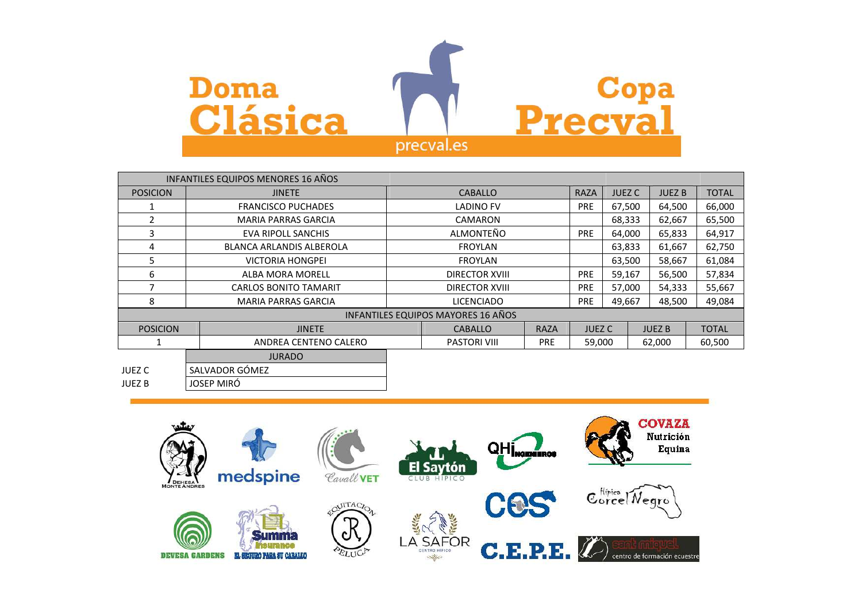

|                 | <b>INFANTILES EQUIPOS MENORES 16 AÑOS</b> |                                   |                                    |             |               |               |               |              |
|-----------------|-------------------------------------------|-----------------------------------|------------------------------------|-------------|---------------|---------------|---------------|--------------|
| <b>POSICION</b> | <b>JINETE</b>                             |                                   | <b>CABALLO</b>                     |             | <b>RAZA</b>   | <b>JUEZ C</b> | <b>JUEZB</b>  | <b>TOTAL</b> |
|                 | <b>FRANCISCO PUCHADES</b>                 |                                   | <b>LADINO FV</b>                   |             | <b>PRE</b>    | 67,500        | 64,500        | 66,000       |
| $\mathcal{P}$   | <b>MARIA PARRAS GARCIA</b>                |                                   | <b>CAMARON</b>                     |             |               | 68,333        | 62,667        | 65,500       |
| 3               | EVA RIPOLL SANCHIS                        |                                   | ALMONTEÑO                          |             | <b>PRE</b>    | 64,000        | 65,833        | 64,917       |
| 4               | <b>BLANCA ARLANDIS ALBEROLA</b>           |                                   | <b>FROYLAN</b>                     |             |               | 63,833        | 61,667        | 62,750       |
| 5               | <b>VICTORIA HONGPEI</b>                   | <b>FROYLAN</b>                    |                                    |             | 63,500        | 58,667        | 61,084        |              |
| 6               | ALBA MORA MORELL                          | <b>DIRECTOR XVIII</b>             |                                    | <b>PRE</b>  | 59,167        | 56,500        | 57,834        |              |
|                 | <b>CARLOS BONITO TAMARIT</b>              | <b>DIRECTOR XVIII</b>             |                                    | <b>PRE</b>  | 57,000        | 54,333        | 55,667        |              |
| 8               | <b>MARIA PARRAS GARCIA</b>                | <b>LICENCIADO</b>                 |                                    | <b>PRE</b>  | 49,667        | 48,500        | 49,084        |              |
|                 |                                           |                                   | INFANTILES EQUIPOS MAYORES 16 AÑOS |             |               |               |               |              |
| <b>POSICION</b> | <b>JINETE</b>                             |                                   | <b>CABALLO</b>                     | <b>RAZA</b> | <b>JUEZ C</b> |               | <b>JUEZ B</b> | <b>TOTAL</b> |
|                 | ANDREA CENTENO CALERO                     | <b>PASTORI VIII</b><br><b>PRE</b> |                                    |             | 59,000        |               | 62,000        | 60,500       |
|                 | <b>JURADO</b>                             |                                   |                                    |             |               |               |               |              |

|               | JURADO         |
|---------------|----------------|
| <b>JUEZ C</b> | SALVADOR GÓMEZ |
| <b>JUEZ B</b> | JOSEP MIRÓ     |

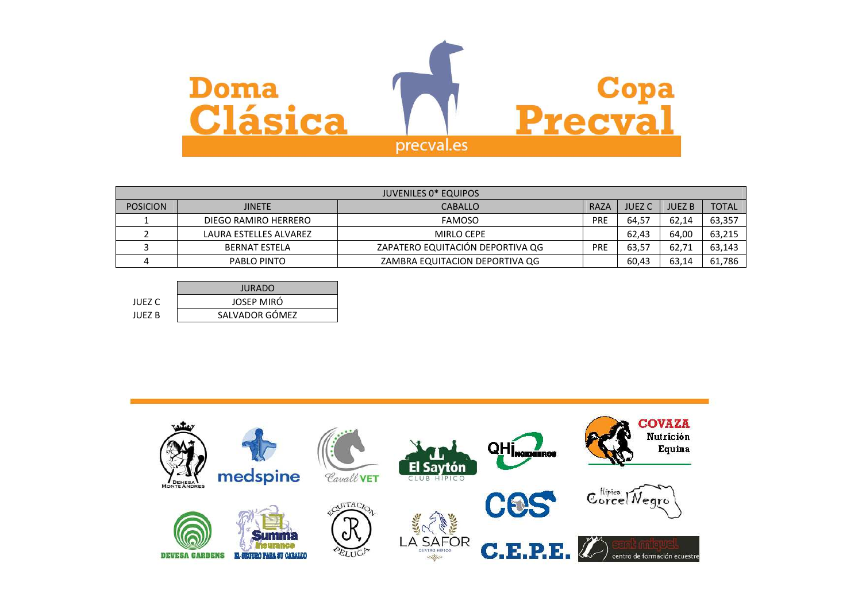

|                 | <b>JUVENILES 0* EQUIPOS</b> |                                  |            |               |               |              |  |  |
|-----------------|-----------------------------|----------------------------------|------------|---------------|---------------|--------------|--|--|
| <b>POSICION</b> | <b>JINETE</b>               | <b>CABALLO</b>                   | RAZA       | <b>JUEZ C</b> | <b>JUEZ B</b> | <b>TOTAL</b> |  |  |
|                 | DIEGO RAMIRO HERRERO        | <b>FAMOSO</b>                    | <b>PRE</b> | 64.57         | 62.14         | 63,357       |  |  |
|                 | LAURA ESTELLES ALVAREZ      | <b>MIRLO CEPE</b>                |            | 62.43         | 64,00         | 63,215       |  |  |
|                 | <b>BERNAT ESTELA</b>        | ZAPATERO EQUITACIÓN DEPORTIVA QG | PRE        | 63.57         | 62.71         | 63,143       |  |  |
|                 | PABLO PINTO                 | ZAMBRA EQUITACION DEPORTIVA QG   |            | 60.43         | 63,14         | 61,786       |  |  |

|        | <b>JURADO</b>  |
|--------|----------------|
| JUEZ C | JOSEP MIRÓ     |
| JUFZ B | SALVADOR GÓMEZ |

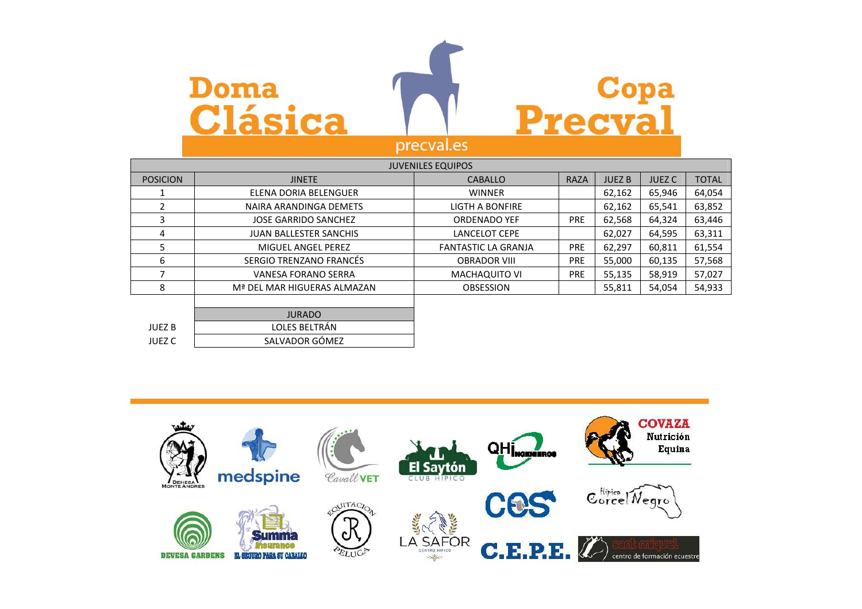

SALVADOR GÓMEZ

**JUEZ C** 



|                 | <b>JUVENILES EQUIPOS</b>      |                            |             |               |               |              |  |  |  |
|-----------------|-------------------------------|----------------------------|-------------|---------------|---------------|--------------|--|--|--|
| <b>POSICION</b> | <b>JINETE</b>                 | <b>CABALLO</b>             | <b>RAZA</b> | <b>JUEZ B</b> | <b>JUEZ C</b> | <b>TOTAL</b> |  |  |  |
|                 | ELENA DORIA BELENGUER         | <b>WINNER</b>              |             | 62.162        | 65,946        | 64,054       |  |  |  |
|                 | NAIRA ARANDINGA DEMETS        | <b>LIGTH A BONFIRE</b>     |             | 62,162        | 65,541        | 63,852       |  |  |  |
| 3               | <b>JOSE GARRIDO SANCHEZ</b>   | <b>ORDENADO YEF</b>        | <b>PRE</b>  | 62,568        | 64,324        | 63,446       |  |  |  |
| 4               | <b>JUAN BALLESTER SANCHIS</b> | <b>LANCELOT CEPE</b>       |             | 62,027        | 64,595        | 63,311       |  |  |  |
| 5               | MIGUEL ANGEL PEREZ            | <b>FANTASTIC LA GRANJA</b> | <b>PRE</b>  | 62,297        | 60,811        | 61,554       |  |  |  |
| 6               | SERGIO TRENZANO FRANCÉS       | <b>OBRADOR VIII</b>        | <b>PRE</b>  | 55,000        | 60,135        | 57,568       |  |  |  |
|                 | <b>VANESA FORANO SERRA</b>    | <b>MACHAQUITO VI</b>       | <b>PRE</b>  | 55,135        | 58,919        | 57,027       |  |  |  |
| 8               | Mª DEL MAR HIGUERAS ALMAZAN   | <b>OBSESSION</b>           |             | 55,811        | 54,054        | 54,933       |  |  |  |
|                 |                               |                            |             |               |               |              |  |  |  |
|                 | <b>JURADO</b>                 |                            |             |               |               |              |  |  |  |
| <b>JUEZ B</b>   | LOLES BELTRÁN                 |                            |             |               |               |              |  |  |  |

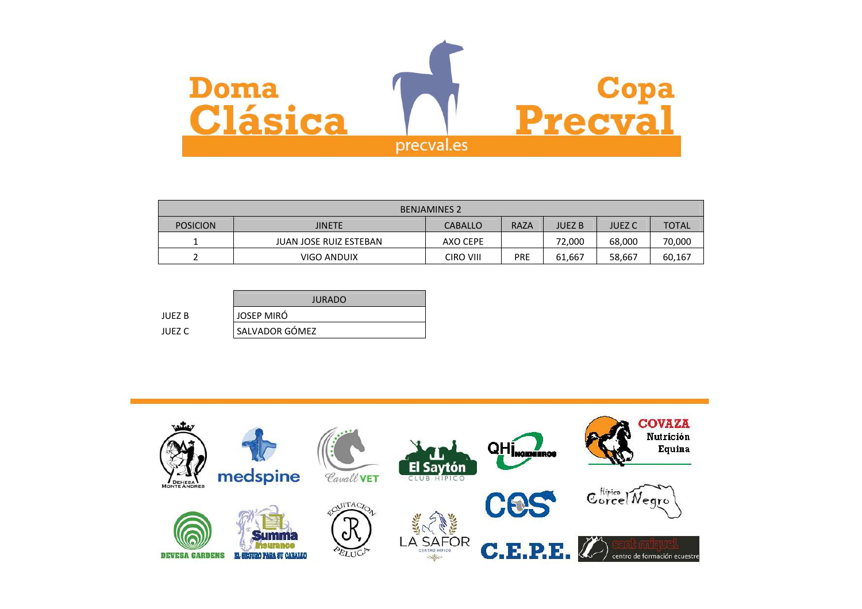

| <b>BENJAMINES 2</b> |                               |                |             |        |               |              |  |  |
|---------------------|-------------------------------|----------------|-------------|--------|---------------|--------------|--|--|
| <b>POSICION</b>     | <b>JINETE</b>                 | <b>CABALLO</b> | <b>RAZA</b> | JUEZ B | <b>JUEZ C</b> | <b>TOTAL</b> |  |  |
|                     | <b>JUAN JOSE RUIZ ESTEBAN</b> | AXO CEPE       |             | 72,000 | 68,000        | 70,000       |  |  |
|                     | VIGO ANDUIX                   | CIRO VIII      | PRE         | 61.667 | 58,667        | 60,167       |  |  |

|        | <b>JURADO</b>  |
|--------|----------------|
| JUFZ B | JOSEP MIRÓ     |
| JUEZ C | SALVADOR GÓMEZ |

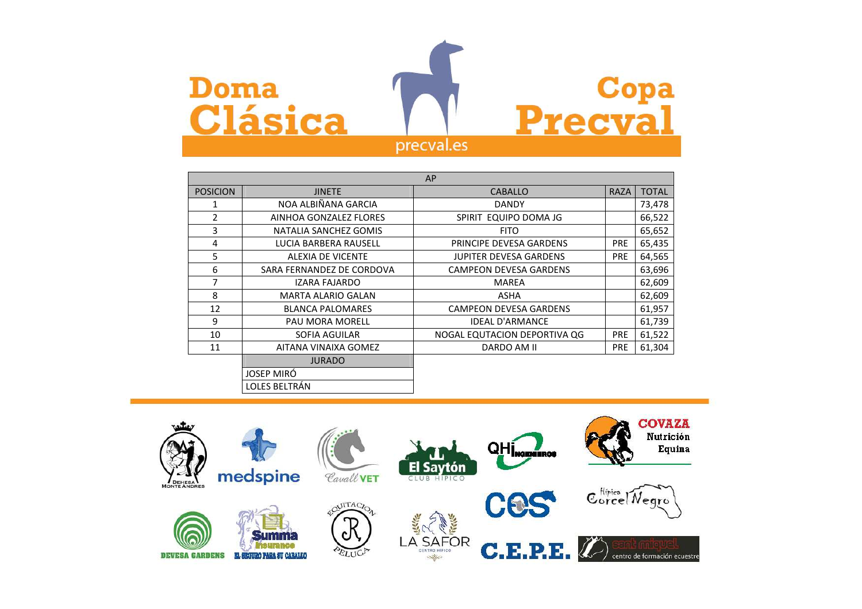

|                 |                           | AP                            |             |              |
|-----------------|---------------------------|-------------------------------|-------------|--------------|
| <b>POSICION</b> | <b>JINETE</b>             | <b>CABALLO</b>                | <b>RAZA</b> | <b>TOTAL</b> |
| 1               | NOA ALBIÑANA GARCIA       | <b>DANDY</b>                  |             | 73,478       |
| $\overline{2}$  | AINHOA GONZALEZ FLORES    | SPIRIT EQUIPO DOMA JG         |             | 66,522       |
| 3               | NATALIA SANCHEZ GOMIS     | <b>FITO</b>                   |             | 65,652       |
| 4               | LUCIA BARBERA RAUSELL     | PRINCIPE DEVESA GARDENS       | <b>PRE</b>  | 65,435       |
| 5               | <b>ALEXIA DE VICENTE</b>  | <b>JUPITER DEVESA GARDENS</b> | <b>PRE</b>  | 64,565       |
| 6               | SARA FERNANDEZ DE CORDOVA | <b>CAMPEON DEVESA GARDENS</b> |             | 63,696       |
| 7               | IZARA FAJARDO             | MAREA                         |             | 62,609       |
| 8               | MARTA ALARIO GALAN        | <b>ASHA</b>                   |             | 62,609       |
| 12              | <b>BLANCA PALOMARES</b>   | <b>CAMPEON DEVESA GARDENS</b> |             | 61,957       |
| 9               | <b>PAU MORA MORELL</b>    | <b>IDEAL D'ARMANCE</b>        |             | 61,739       |
| 10              | SOFIA AGUILAR             | NOGAL EQUTACION DEPORTIVA QG  | <b>PRE</b>  | 61,522       |
| 11              | AITANA VINAIXA GOMEZ      | DARDO AM II                   | <b>PRE</b>  | 61,304       |
|                 | <b>JURADO</b>             |                               |             |              |
|                 | <b>JOSEP MIRÓ</b>         |                               |             |              |
|                 | LOLES BELTRÁN             |                               |             |              |

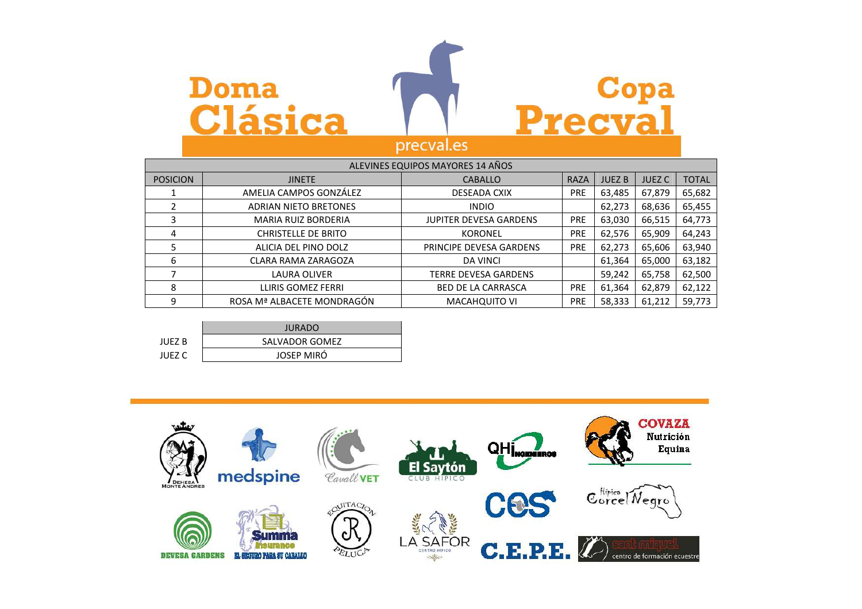## **Doma Clásica**



| ALEVINES EQUIPOS MAYORES 14 AÑOS |                              |                               |             |               |               |              |  |
|----------------------------------|------------------------------|-------------------------------|-------------|---------------|---------------|--------------|--|
| <b>POSICION</b>                  | <b>JINETE</b>                | <b>CABALLO</b>                | <b>RAZA</b> | <b>JUEZ B</b> | <b>JUEZ C</b> | <b>TOTAL</b> |  |
|                                  | AMELIA CAMPOS GONZÁLEZ       | <b>DESEADA CXIX</b>           | <b>PRE</b>  | 63,485        | 67,879        | 65,682       |  |
|                                  | <b>ADRIAN NIETO BRETONES</b> | <b>INDIO</b>                  |             | 62,273        | 68,636        | 65,455       |  |
| 3                                | <b>MARIA RUIZ BORDERIA</b>   | <b>JUPITER DEVESA GARDENS</b> | <b>PRE</b>  | 63,030        | 66,515        | 64,773       |  |
| 4                                | <b>CHRISTELLE DE BRITO</b>   | <b>KORONEL</b>                | <b>PRE</b>  | 62,576        | 65,909        | 64,243       |  |
|                                  | ALICIA DEL PINO DOLZ         | PRINCIPE DEVESA GARDENS       | <b>PRE</b>  | 62,273        | 65,606        | 63,940       |  |
| 6                                | CLARA RAMA ZARAGOZA          | <b>DA VINCI</b>               |             | 61,364        | 65,000        | 63,182       |  |
|                                  | LAURA OLIVER                 | <b>TERRE DEVESA GARDENS</b>   |             | 59,242        | 65,758        | 62,500       |  |
| 8                                | LLIRIS GOMEZ FERRI           | <b>BED DE LA CARRASCA</b>     | <b>PRE</b>  | 61,364        | 62,879        | 62,122       |  |
| 9                                | ROSA Mª ALBACETE MONDRAGÓN   | MACAHQUITO VI                 | <b>PRE</b>  | 58,333        | 61,212        | 59,773       |  |

|        | <b>JURADO</b>     |  |  |  |  |
|--------|-------------------|--|--|--|--|
| IUFZ B | SALVADOR GOMEZ    |  |  |  |  |
| IUFZ C | <b>JOSEP MIRÓ</b> |  |  |  |  |

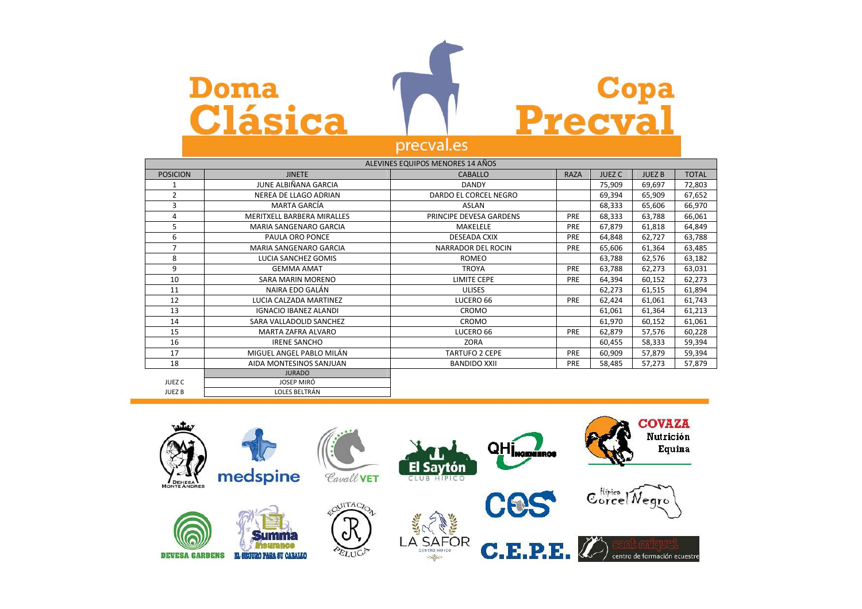# **Doma Clásica**



|                 |                              | ALEVINES EQUIPOS MENORES 14 AÑOS |             |               |              |              |
|-----------------|------------------------------|----------------------------------|-------------|---------------|--------------|--------------|
| <b>POSICION</b> | <b>JINETE</b>                | <b>CABALLO</b>                   | <b>RAZA</b> | <b>JUEZ C</b> | <b>JUEZB</b> | <b>TOTAL</b> |
| 1               | JUNE ALBIÑANA GARCIA         | <b>DANDY</b>                     |             | 75,909        | 69,697       | 72,803       |
| $\overline{2}$  | NEREA DE LLAGO ADRIAN        | DARDO EL CORCEL NEGRO            |             | 69,394        | 65,909       | 67,652       |
| 3               | <b>MARTA GARCÍA</b>          | ASLAN                            |             | 68,333        | 65,606       | 66,970       |
| 4               | MERITXELL BARBERA MIRALLES   | PRINCIPE DEVESA GARDENS          | <b>PRE</b>  | 68,333        | 63,788       | 66,061       |
| 5               | MARIA SANGENARO GARCIA       | MAKELELE                         | PRE         | 67,879        | 61,818       | 64,849       |
| 6               | PAULA ORO PONCE              | <b>DESEADA CXIX</b>              | PRE         | 64,848        | 62,727       | 63,788       |
| 7               | MARIA SANGENARO GARCIA       | NARRADOR DEL ROCIN               | PRE         | 65,606        | 61,364       | 63,485       |
| 8               | LUCIA SANCHEZ GOMIS          | <b>ROMEO</b>                     |             | 63,788        | 62,576       | 63,182       |
| 9               | <b>GEMMA AMAT</b>            | <b>TROYA</b>                     | PRE         | 63,788        | 62,273       | 63,031       |
| 10              | SARA MARIN MORENO            | <b>LIMITE CEPE</b>               | PRE         | 64,394        | 60,152       | 62,273       |
| 11              | NAIRA EDO GALÁN              | <b>ULISES</b>                    |             | 62,273        | 61,515       | 61,894       |
| 12              | LUCIA CALZADA MARTINEZ       | LUCERO 66                        | PRE         | 62,424        | 61,061       | 61,743       |
| 13              | <b>IGNACIO IBANEZ ALANDI</b> | CROMO                            |             | 61,061        | 61,364       | 61,213       |
| 14              | SARA VALLADOLID SANCHEZ      | CROMO                            |             | 61,970        | 60,152       | 61,061       |
| 15              | MARTA ZAFRA ALVARO           | LUCERO 66                        | PRE         | 62,879        | 57,576       | 60,228       |
| 16              | <b>IRENE SANCHO</b>          | ZORA                             |             | 60,455        | 58,333       | 59,394       |
| 17              | MIGUEL ANGEL PABLO MILÁN     | <b>TARTUFO 2 CEPE</b>            | PRE         | 60,909        | 57,879       | 59,394       |
| 18              | AIDA MONTESINOS SANJUAN      | <b>BANDIDO XXII</b>              | PRE         | 58,485        | 57,273       | 57,879       |
|                 | <b>JURADO</b>                |                                  |             |               |              |              |
| JUEZ C          | <b>JOSEP MIRÓ</b>            |                                  |             |               |              |              |
| <b>JUEZB</b>    | LOLES BELTRÁN                |                                  |             |               |              |              |